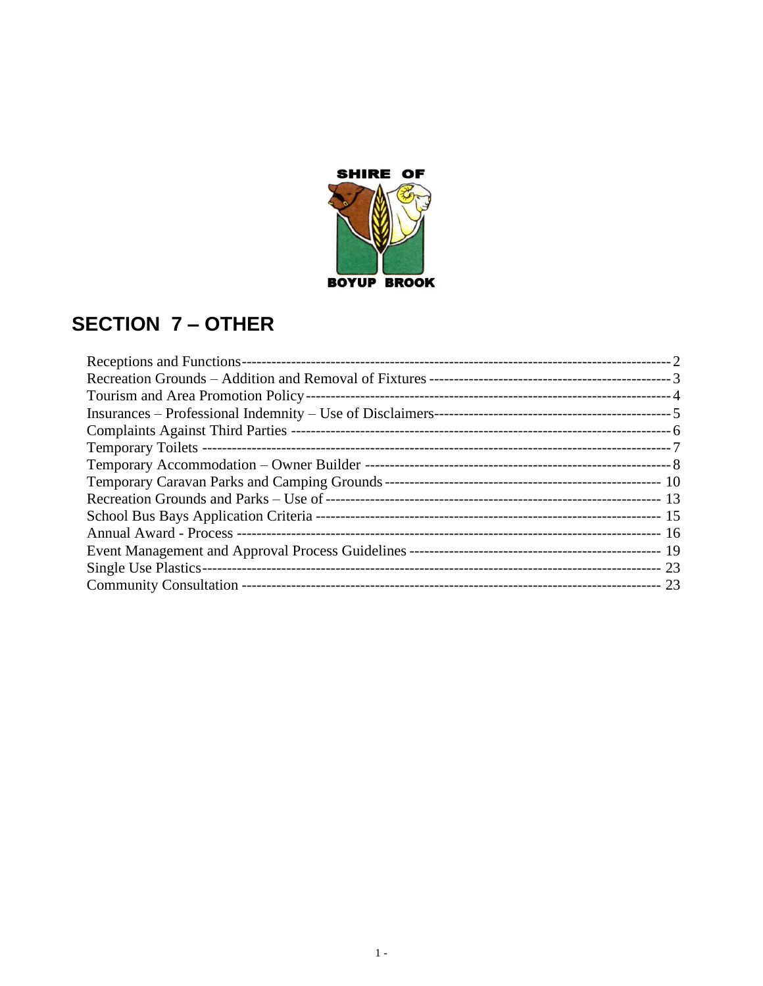

# **SECTION 7 – OTHER**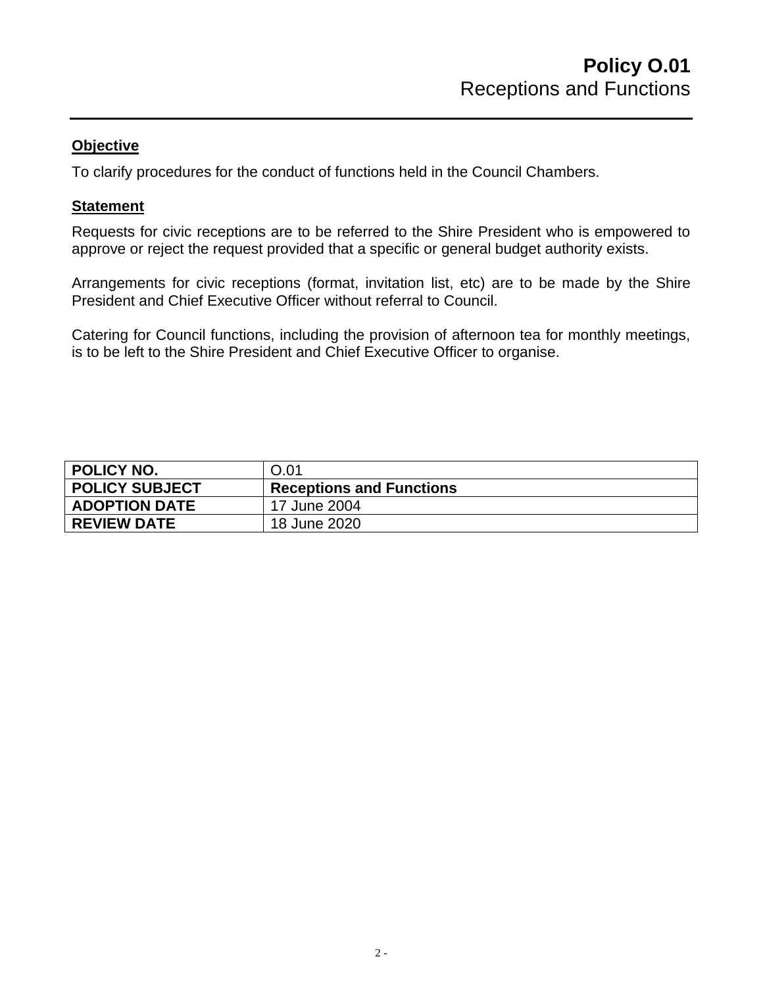To clarify procedures for the conduct of functions held in the Council Chambers.

#### **Statement**

Requests for civic receptions are to be referred to the Shire President who is empowered to approve or reject the request provided that a specific or general budget authority exists.

Arrangements for civic receptions (format, invitation list, etc) are to be made by the Shire President and Chief Executive Officer without referral to Council.

Catering for Council functions, including the provision of afternoon tea for monthly meetings, is to be left to the Shire President and Chief Executive Officer to organise.

<span id="page-1-0"></span>

| <b>POLICY NO.</b>     | 0.01                            |
|-----------------------|---------------------------------|
| <b>POLICY SUBJECT</b> | <b>Receptions and Functions</b> |
| <b>ADOPTION DATE</b>  | 17 June 2004                    |
| <b>REVIEW DATE</b>    | 18 June 2020                    |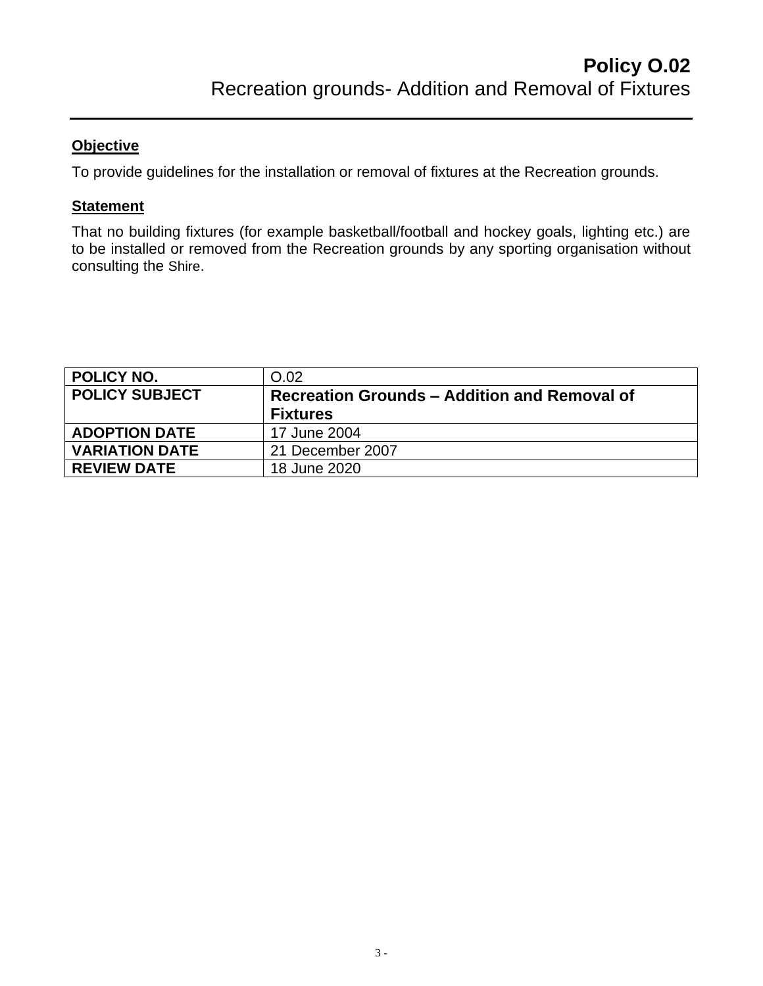To provide guidelines for the installation or removal of fixtures at the Recreation grounds.

#### **Statement**

That no building fixtures (for example basketball/football and hockey goals, lighting etc.) are to be installed or removed from the Recreation grounds by any sporting organisation without consulting the Shire.

<span id="page-2-0"></span>

| POLICY NO.            | O.02                                                |
|-----------------------|-----------------------------------------------------|
| <b>POLICY SUBJECT</b> | <b>Recreation Grounds - Addition and Removal of</b> |
|                       | <b>Fixtures</b>                                     |
| <b>ADOPTION DATE</b>  | 17 June 2004                                        |
| <b>VARIATION DATE</b> | 21 December 2007                                    |
| <b>REVIEW DATE</b>    | 18 June 2020                                        |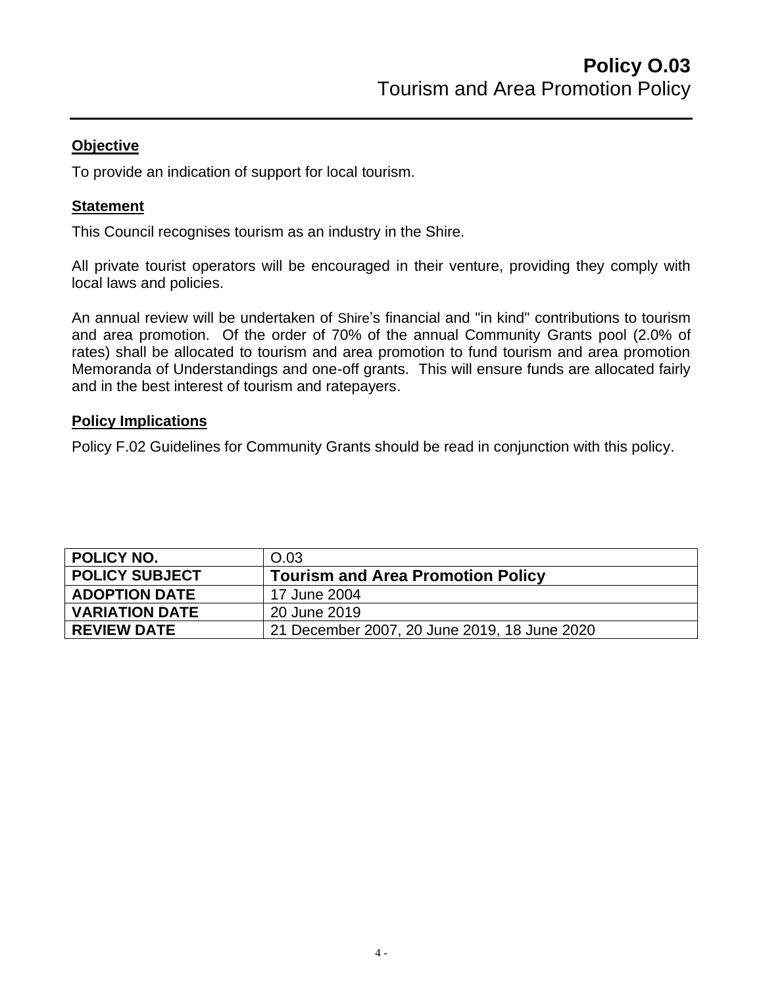To provide an indication of support for local tourism.

#### **Statement**

This Council recognises tourism as an industry in the Shire.

All private tourist operators will be encouraged in their venture, providing they comply with local laws and policies.

An annual review will be undertaken of Shire's financial and "in kind" contributions to tourism and area promotion. Of the order of 70% of the annual Community Grants pool (2.0% of rates) shall be allocated to tourism and area promotion to fund tourism and area promotion Memoranda of Understandings and one-off grants. This will ensure funds are allocated fairly and in the best interest of tourism and ratepayers.

## **Policy Implications**

Policy F.02 Guidelines for Community Grants should be read in conjunction with this policy.

<span id="page-3-0"></span>

| <b>POLICY NO.</b>     | O.03                                         |
|-----------------------|----------------------------------------------|
| <b>POLICY SUBJECT</b> | <b>Tourism and Area Promotion Policy</b>     |
| <b>ADOPTION DATE</b>  | 17 June 2004                                 |
| <b>VARIATION DATE</b> | 20 June 2019                                 |
| <b>REVIEW DATE</b>    | 21 December 2007, 20 June 2019, 18 June 2020 |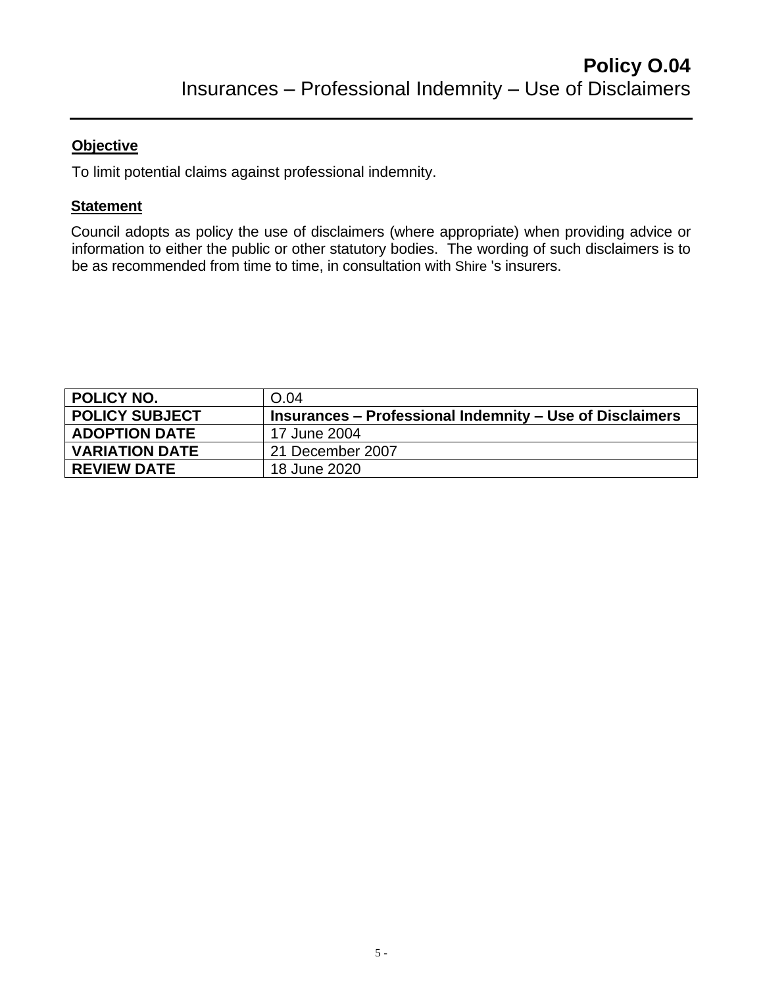To limit potential claims against professional indemnity.

## **Statement**

Council adopts as policy the use of disclaimers (where appropriate) when providing advice or information to either the public or other statutory bodies. The wording of such disclaimers is to be as recommended from time to time, in consultation with Shire 's insurers.

<span id="page-4-0"></span>

| POLICY NO.            | O.04                                                     |
|-----------------------|----------------------------------------------------------|
| <b>POLICY SUBJECT</b> | Insurances – Professional Indemnity – Use of Disclaimers |
| <b>ADOPTION DATE</b>  | 17 June 2004                                             |
| <b>VARIATION DATE</b> | 21 December 2007                                         |
| <b>REVIEW DATE</b>    | 18 June 2020                                             |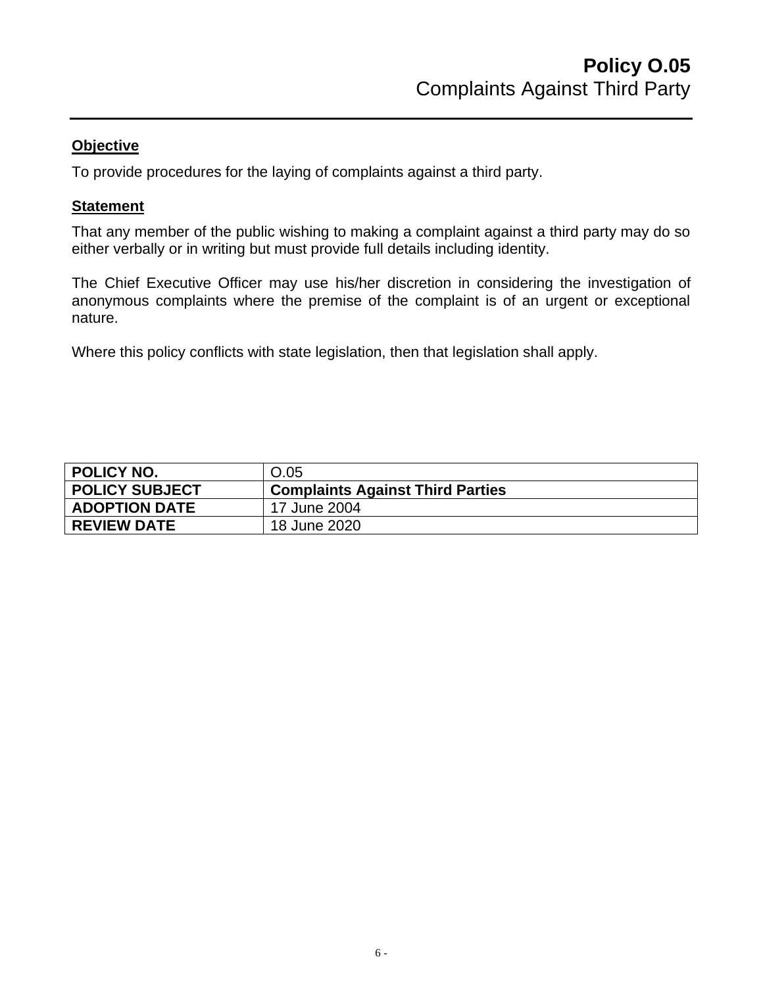To provide procedures for the laying of complaints against a third party.

#### **Statement**

That any member of the public wishing to making a complaint against a third party may do so either verbally or in writing but must provide full details including identity.

The Chief Executive Officer may use his/her discretion in considering the investigation of anonymous complaints where the premise of the complaint is of an urgent or exceptional nature.

Where this policy conflicts with state legislation, then that legislation shall apply.

<span id="page-5-0"></span>

| <b>POLICY NO.</b>     | O.05                                    |
|-----------------------|-----------------------------------------|
| <b>POLICY SUBJECT</b> | <b>Complaints Against Third Parties</b> |
| <b>ADOPTION DATE</b>  | 17 June 2004                            |
| <b>REVIEW DATE</b>    | 18 June 2020                            |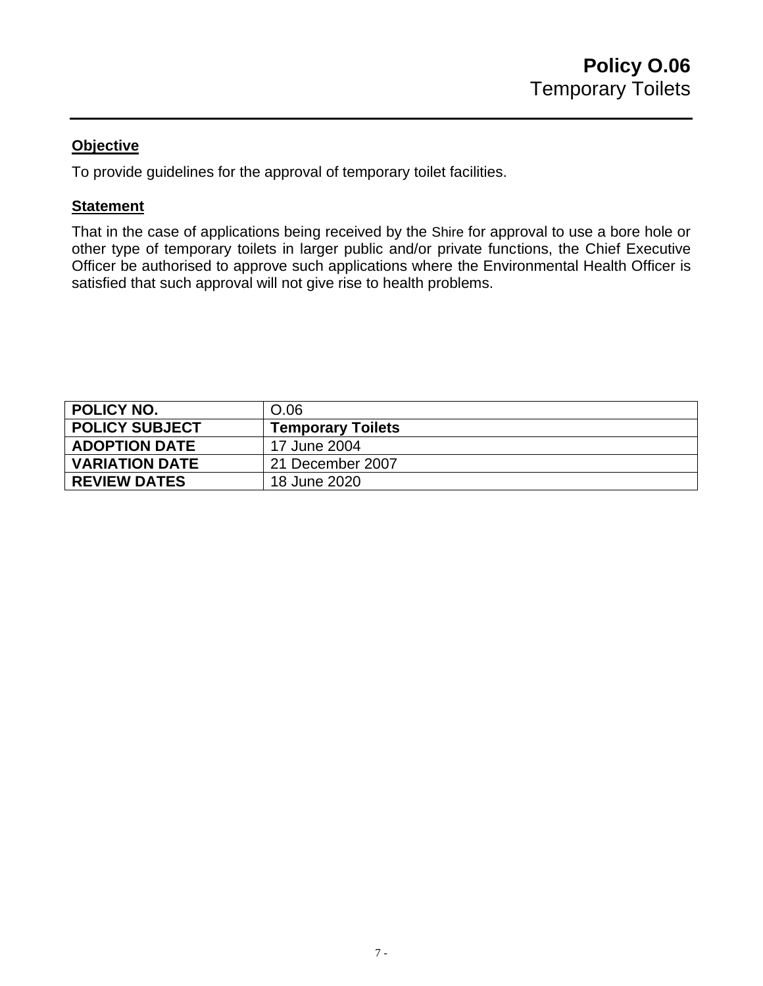To provide guidelines for the approval of temporary toilet facilities.

#### **Statement**

That in the case of applications being received by the Shire for approval to use a bore hole or other type of temporary toilets in larger public and/or private functions, the Chief Executive Officer be authorised to approve such applications where the Environmental Health Officer is satisfied that such approval will not give rise to health problems.

<span id="page-6-0"></span>

| <b>POLICY NO.</b>     | O.06                     |
|-----------------------|--------------------------|
| <b>POLICY SUBJECT</b> | <b>Temporary Toilets</b> |
| <b>ADOPTION DATE</b>  | 17 June 2004             |
| <b>VARIATION DATE</b> | 21 December 2007         |
| <b>REVIEW DATES</b>   | 18 June 2020             |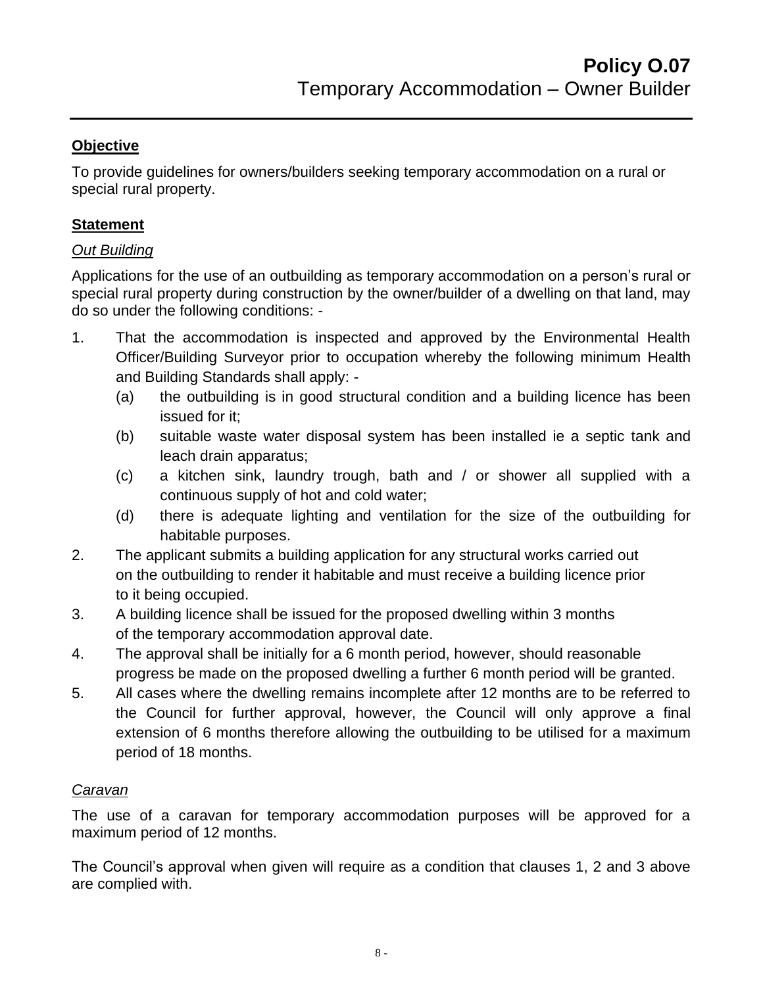To provide guidelines for owners/builders seeking temporary accommodation on a rural or special rural property.

# **Statement**

## *Out Building*

Applications for the use of an outbuilding as temporary accommodation on a person's rural or special rural property during construction by the owner/builder of a dwelling on that land, may do so under the following conditions: -

- 1. That the accommodation is inspected and approved by the Environmental Health Officer/Building Surveyor prior to occupation whereby the following minimum Health and Building Standards shall apply: -
	- (a) the outbuilding is in good structural condition and a building licence has been issued for it;
	- (b) suitable waste water disposal system has been installed ie a septic tank and leach drain apparatus;
	- (c) a kitchen sink, laundry trough, bath and / or shower all supplied with a continuous supply of hot and cold water;
	- (d) there is adequate lighting and ventilation for the size of the outbuilding for habitable purposes.
- 2. The applicant submits a building application for any structural works carried out on the outbuilding to render it habitable and must receive a building licence prior to it being occupied.
- 3. A building licence shall be issued for the proposed dwelling within 3 months of the temporary accommodation approval date.
- 4. The approval shall be initially for a 6 month period, however, should reasonable progress be made on the proposed dwelling a further 6 month period will be granted.
- 5. All cases where the dwelling remains incomplete after 12 months are to be referred to the Council for further approval, however, the Council will only approve a final extension of 6 months therefore allowing the outbuilding to be utilised for a maximum period of 18 months.

## *Caravan*

The use of a caravan for temporary accommodation purposes will be approved for a maximum period of 12 months.

The Council's approval when given will require as a condition that clauses 1, 2 and 3 above are complied with.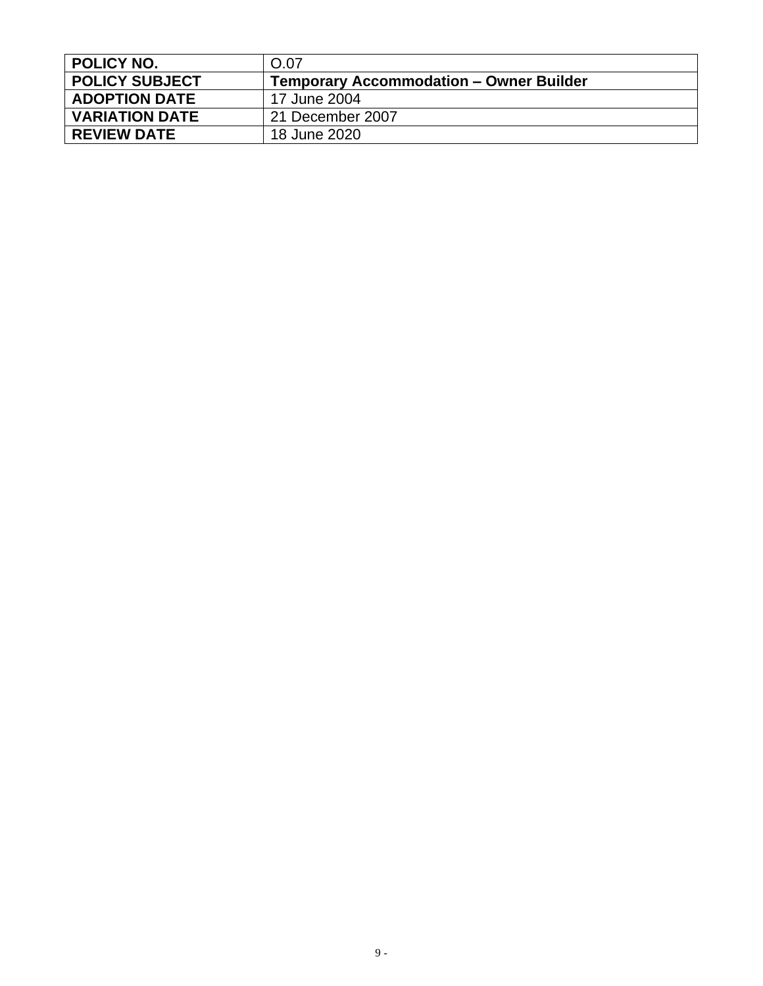<span id="page-8-0"></span>

| <b>POLICY NO.</b>     | O.07                                           |
|-----------------------|------------------------------------------------|
| <b>POLICY SUBJECT</b> | <b>Temporary Accommodation – Owner Builder</b> |
| <b>ADOPTION DATE</b>  | 17 June 2004                                   |
| <b>VARIATION DATE</b> | 21 December 2007                               |
| <b>REVIEW DATE</b>    | 18 June 2020                                   |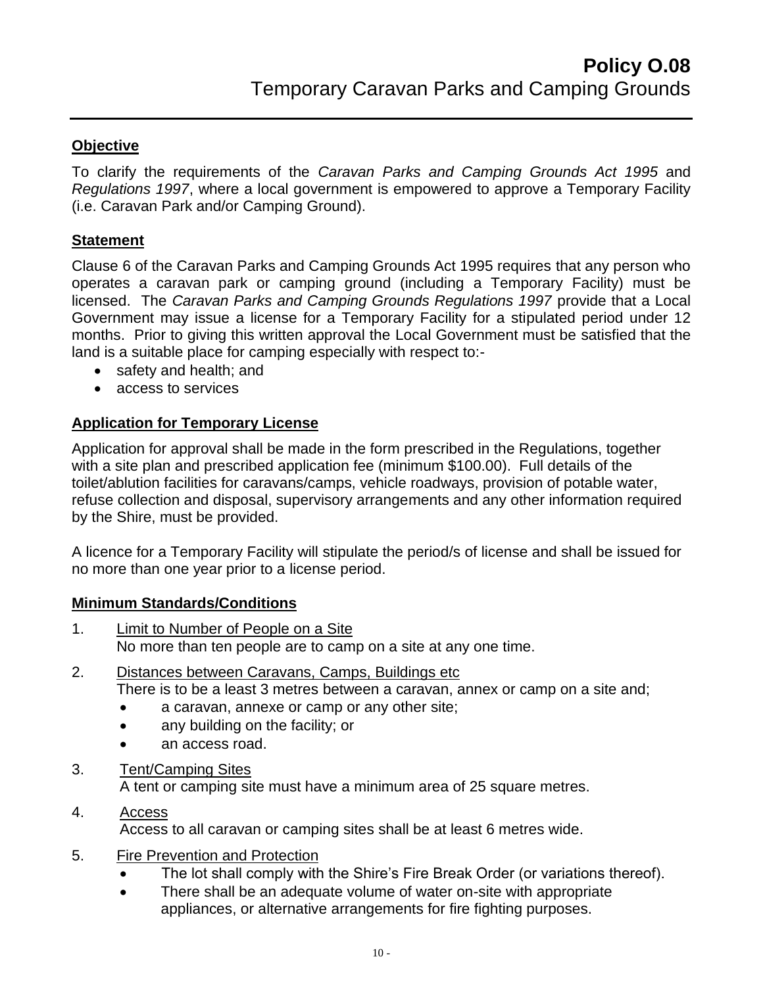To clarify the requirements of the *Caravan Parks and Camping Grounds Act 1995* and *Regulations 1997*, where a local government is empowered to approve a Temporary Facility (i.e. Caravan Park and/or Camping Ground).

#### **Statement**

Clause 6 of the Caravan Parks and Camping Grounds Act 1995 requires that any person who operates a caravan park or camping ground (including a Temporary Facility) must be licensed. The *Caravan Parks and Camping Grounds Regulations 1997* provide that a Local Government may issue a license for a Temporary Facility for a stipulated period under 12 months. Prior to giving this written approval the Local Government must be satisfied that the land is a suitable place for camping especially with respect to:-

- safety and health; and
- access to services

## **Application for Temporary License**

Application for approval shall be made in the form prescribed in the Regulations, together with a site plan and prescribed application fee (minimum \$100.00). Full details of the toilet/ablution facilities for caravans/camps, vehicle roadways, provision of potable water, refuse collection and disposal, supervisory arrangements and any other information required by the Shire, must be provided.

A licence for a Temporary Facility will stipulate the period/s of license and shall be issued for no more than one year prior to a license period.

#### **Minimum Standards/Conditions**

- 1. Limit to Number of People on a Site No more than ten people are to camp on a site at any one time.
- 2. Distances between Caravans, Camps, Buildings etc There is to be a least 3 metres between a caravan, annex or camp on a site and;
	- a caravan, annexe or camp or any other site;
	- any building on the facility; or
	- an access road.
- 3. Tent/Camping Sites

A tent or camping site must have a minimum area of 25 square metres.

## 4. Access

Access to all caravan or camping sites shall be at least 6 metres wide.

- 5. Fire Prevention and Protection
	- The lot shall comply with the Shire's Fire Break Order (or variations thereof).
	- There shall be an adequate volume of water on-site with appropriate appliances, or alternative arrangements for fire fighting purposes.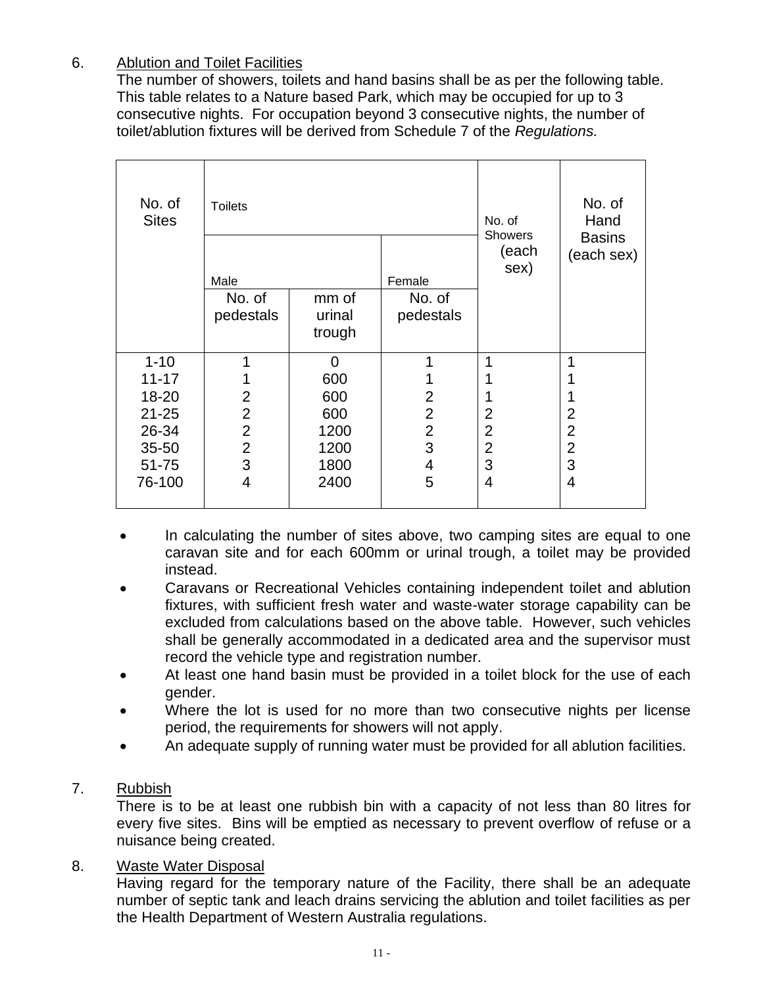# 6. Ablution and Toilet Facilities

The number of showers, toilets and hand basins shall be as per the following table. This table relates to a Nature based Park, which may be occupied for up to 3 consecutive nights. For occupation beyond 3 consecutive nights, the number of toilet/ablution fixtures will be derived from Schedule 7 of the *Regulations.*

| No. of<br><b>Sites</b> | <b>Toilets</b> |                |                | No. of<br>Hand<br>No. of<br><b>Showers</b> |                             |  |
|------------------------|----------------|----------------|----------------|--------------------------------------------|-----------------------------|--|
|                        | Male           |                | Female         | (each<br>sex)                              | <b>Basins</b><br>(each sex) |  |
|                        | No. of         | mm of          | No. of         |                                            |                             |  |
|                        | pedestals      | urinal         | pedestals      |                                            |                             |  |
|                        |                | trough         |                |                                            |                             |  |
| $1 - 10$               | 1              | $\overline{0}$ | 1              | 1                                          | 1                           |  |
| $11 - 17$              | 1              | 600            | 1              |                                            |                             |  |
| 18-20                  | $\overline{2}$ | 600            | $\overline{2}$ |                                            | 1                           |  |
| $21 - 25$              | $\overline{2}$ | 600            | $\overline{2}$ | $\overline{2}$                             | $\overline{2}$              |  |
| 26-34                  | $\overline{2}$ | 1200           | $\overline{2}$ | $\overline{2}$                             | $\overline{2}$              |  |
| 35-50                  | $\overline{2}$ | 1200           | 3              | $\overline{2}$                             | $\overline{2}$              |  |
| 51-75                  | 3              | 1800           | 4              | 3                                          | 3                           |  |
| 76-100                 | 4              | 2400           | 5              | 4                                          | $\overline{4}$              |  |

- In calculating the number of sites above, two camping sites are equal to one caravan site and for each 600mm or urinal trough, a toilet may be provided instead.
- Caravans or Recreational Vehicles containing independent toilet and ablution fixtures, with sufficient fresh water and waste-water storage capability can be excluded from calculations based on the above table. However, such vehicles shall be generally accommodated in a dedicated area and the supervisor must record the vehicle type and registration number.
- At least one hand basin must be provided in a toilet block for the use of each gender.
- Where the lot is used for no more than two consecutive nights per license period, the requirements for showers will not apply.
- An adequate supply of running water must be provided for all ablution facilities.

## 7. Rubbish

There is to be at least one rubbish bin with a capacity of not less than 80 litres for every five sites. Bins will be emptied as necessary to prevent overflow of refuse or a nuisance being created.

## 8. Waste Water Disposal

Having regard for the temporary nature of the Facility, there shall be an adequate number of septic tank and leach drains servicing the ablution and toilet facilities as per the Health Department of Western Australia regulations.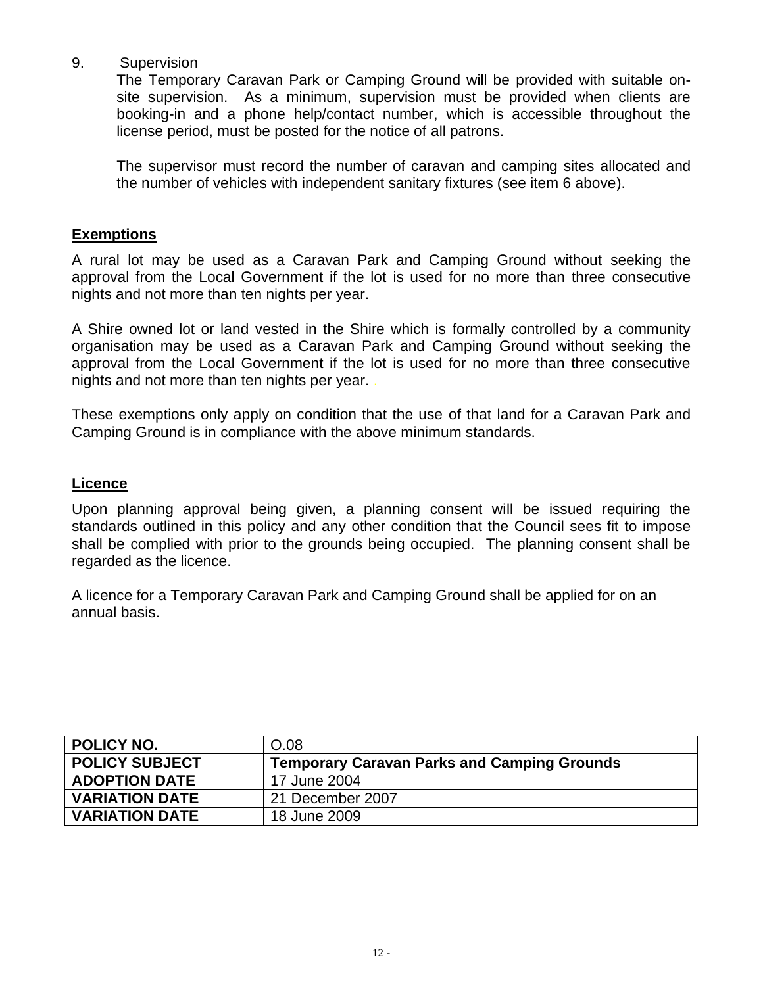#### 9. Supervision

The Temporary Caravan Park or Camping Ground will be provided with suitable onsite supervision. As a minimum, supervision must be provided when clients are booking-in and a phone help/contact number, which is accessible throughout the license period, must be posted for the notice of all patrons.

The supervisor must record the number of caravan and camping sites allocated and the number of vehicles with independent sanitary fixtures (see item 6 above).

#### **Exemptions**

A rural lot may be used as a Caravan Park and Camping Ground without seeking the approval from the Local Government if the lot is used for no more than three consecutive nights and not more than ten nights per year.

A Shire owned lot or land vested in the Shire which is formally controlled by a community organisation may be used as a Caravan Park and Camping Ground without seeking the approval from the Local Government if the lot is used for no more than three consecutive nights and not more than ten nights per year. .

These exemptions only apply on condition that the use of that land for a Caravan Park and Camping Ground is in compliance with the above minimum standards.

#### **Licence**

Upon planning approval being given, a planning consent will be issued requiring the standards outlined in this policy and any other condition that the Council sees fit to impose shall be complied with prior to the grounds being occupied. The planning consent shall be regarded as the licence.

A licence for a Temporary Caravan Park and Camping Ground shall be applied for on an annual basis.

<span id="page-11-0"></span>

| <b>POLICY NO.</b>     | O.08                                               |
|-----------------------|----------------------------------------------------|
| <b>POLICY SUBJECT</b> | <b>Temporary Caravan Parks and Camping Grounds</b> |
| <b>ADOPTION DATE</b>  | 17 June 2004                                       |
| <b>VARIATION DATE</b> | 21 December 2007                                   |
| <b>VARIATION DATE</b> | 18 June 2009                                       |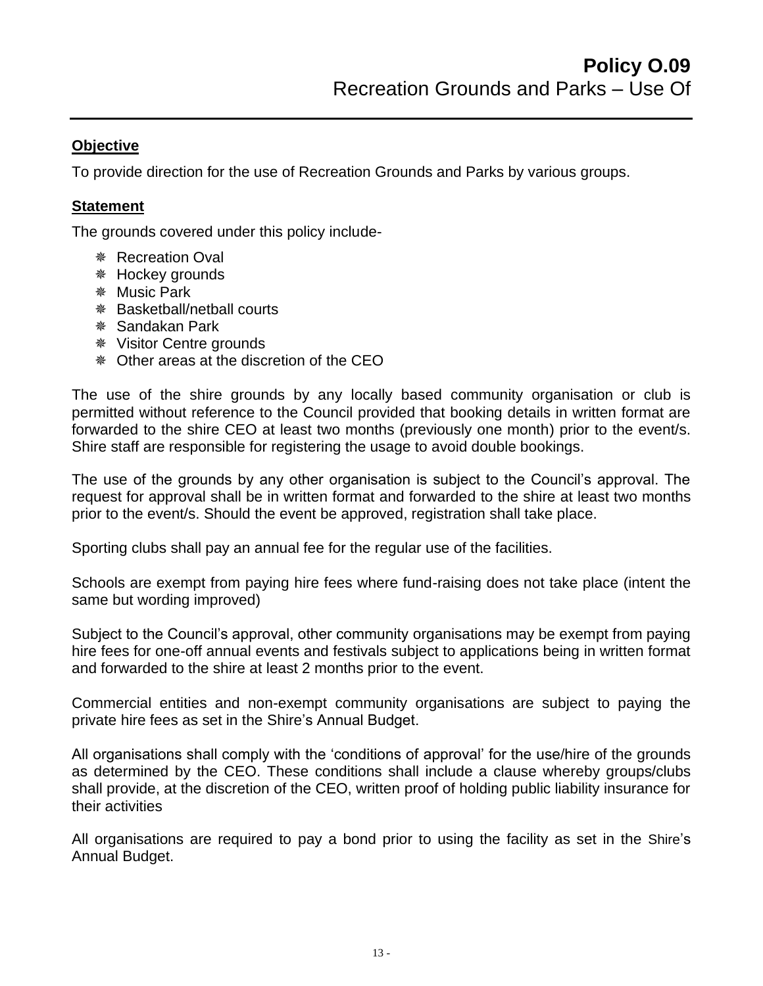To provide direction for the use of Recreation Grounds and Parks by various groups.

## **Statement**

The grounds covered under this policy include-

- *<sub>\*</sub>* Recreation Oval
- Hockey grounds
- Music Park
- Basketball/netball courts
- Sandakan Park
- Visitor Centre grounds
- Other areas at the discretion of the CEO

The use of the shire grounds by any locally based community organisation or club is permitted without reference to the Council provided that booking details in written format are forwarded to the shire CEO at least two months (previously one month) prior to the event/s. Shire staff are responsible for registering the usage to avoid double bookings.

The use of the grounds by any other organisation is subject to the Council's approval. The request for approval shall be in written format and forwarded to the shire at least two months prior to the event/s. Should the event be approved, registration shall take place.

Sporting clubs shall pay an annual fee for the regular use of the facilities.

Schools are exempt from paying hire fees where fund-raising does not take place (intent the same but wording improved)

Subject to the Council's approval, other community organisations may be exempt from paying hire fees for one-off annual events and festivals subject to applications being in written format and forwarded to the shire at least 2 months prior to the event.

Commercial entities and non-exempt community organisations are subject to paying the private hire fees as set in the Shire's Annual Budget.

All organisations shall comply with the 'conditions of approval' for the use/hire of the grounds as determined by the CEO. These conditions shall include a clause whereby groups/clubs shall provide, at the discretion of the CEO, written proof of holding public liability insurance for their activities

All organisations are required to pay a bond prior to using the facility as set in the Shire's Annual Budget.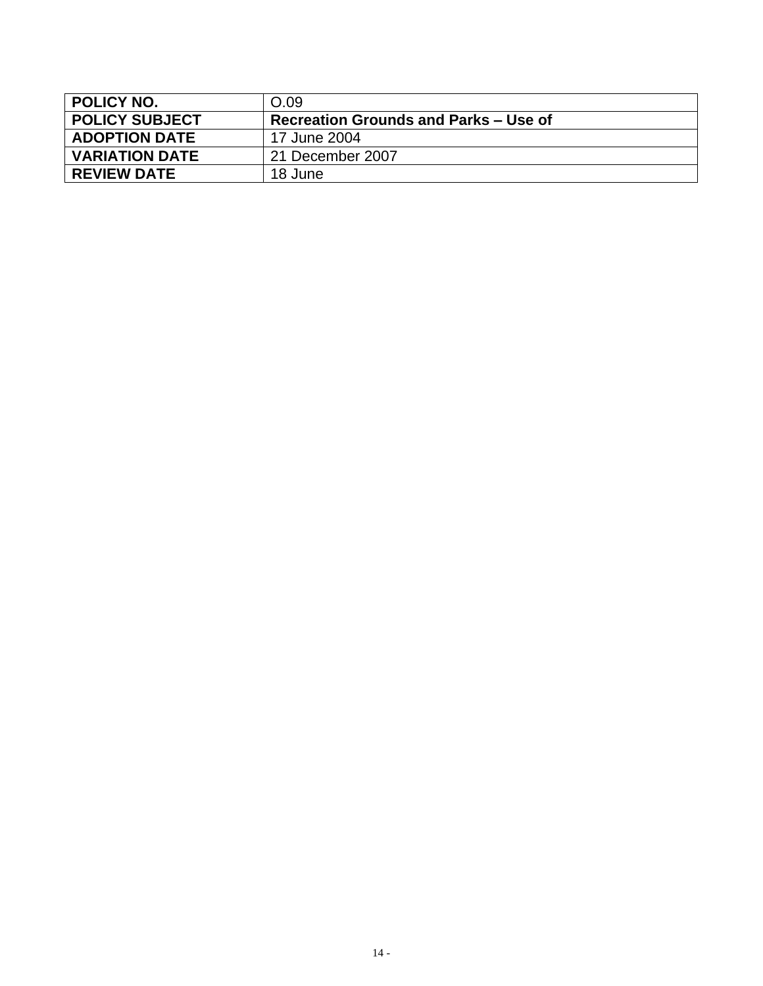<span id="page-13-0"></span>

| POLICY NO.            | O.09                                  |  |
|-----------------------|---------------------------------------|--|
| <b>POLICY SUBJECT</b> | Recreation Grounds and Parks – Use of |  |
| <b>ADOPTION DATE</b>  | 17 June 2004                          |  |
| <b>VARIATION DATE</b> | 21 December 2007                      |  |
| <b>REVIEW DATE</b>    | 18 June                               |  |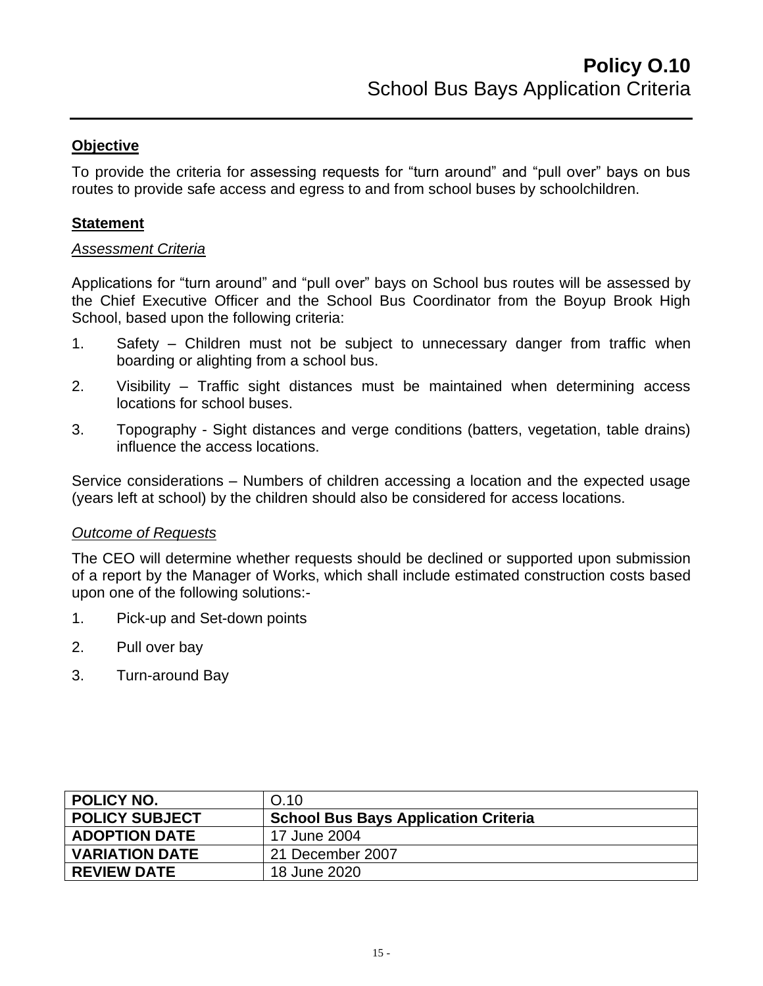To provide the criteria for assessing requests for "turn around" and "pull over" bays on bus routes to provide safe access and egress to and from school buses by schoolchildren.

#### **Statement**

#### *Assessment Criteria*

Applications for "turn around" and "pull over" bays on School bus routes will be assessed by the Chief Executive Officer and the School Bus Coordinator from the Boyup Brook High School, based upon the following criteria:

- 1. Safety Children must not be subject to unnecessary danger from traffic when boarding or alighting from a school bus.
- 2. Visibility Traffic sight distances must be maintained when determining access locations for school buses.
- 3. Topography Sight distances and verge conditions (batters, vegetation, table drains) influence the access locations.

Service considerations – Numbers of children accessing a location and the expected usage (years left at school) by the children should also be considered for access locations.

#### *Outcome of Requests*

The CEO will determine whether requests should be declined or supported upon submission of a report by the Manager of Works, which shall include estimated construction costs based upon one of the following solutions:-

- 1. Pick-up and Set-down points
- 2. Pull over bay
- 3. Turn-around Bay

<span id="page-14-0"></span>

| <b>POLICY NO.</b>     | O.10                                        |
|-----------------------|---------------------------------------------|
| <b>POLICY SUBJECT</b> | <b>School Bus Bays Application Criteria</b> |
| <b>ADOPTION DATE</b>  | 17 June 2004                                |
| <b>VARIATION DATE</b> | 21 December 2007                            |
| <b>REVIEW DATE</b>    | 18 June 2020                                |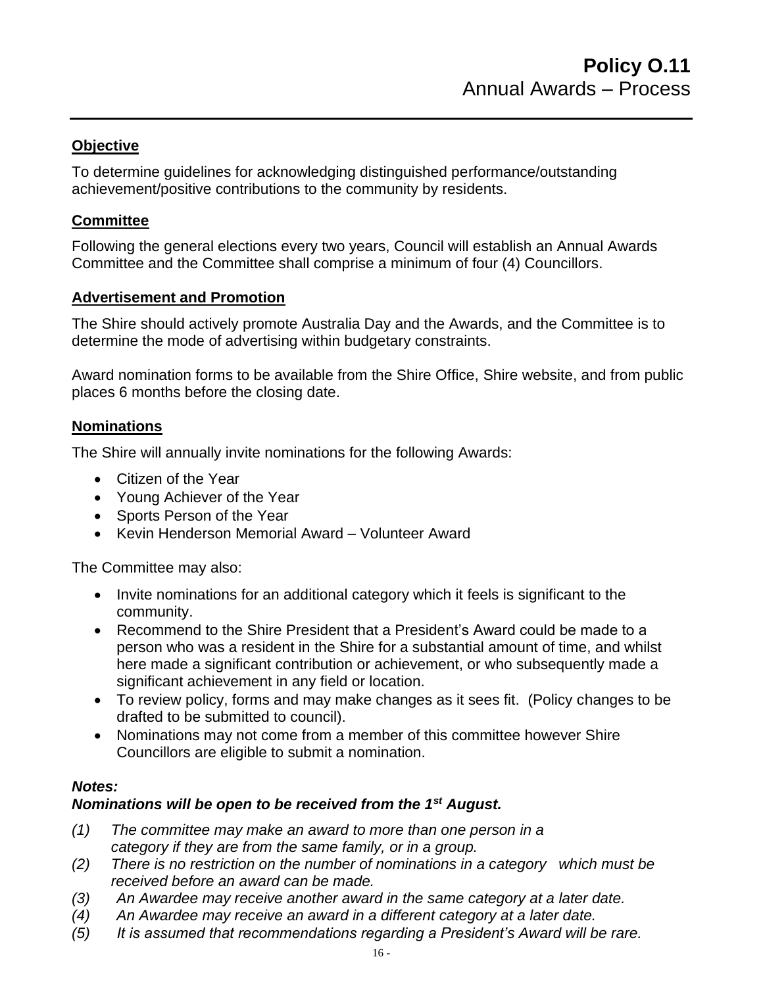To determine guidelines for acknowledging distinguished performance/outstanding achievement/positive contributions to the community by residents.

## **Committee**

Following the general elections every two years, Council will establish an Annual Awards Committee and the Committee shall comprise a minimum of four (4) Councillors.

## **Advertisement and Promotion**

The Shire should actively promote Australia Day and the Awards, and the Committee is to determine the mode of advertising within budgetary constraints.

Award nomination forms to be available from the Shire Office, Shire website, and from public places 6 months before the closing date.

## **Nominations**

The Shire will annually invite nominations for the following Awards:

- Citizen of the Year
- Young Achiever of the Year
- Sports Person of the Year
- Kevin Henderson Memorial Award Volunteer Award

The Committee may also:

- Invite nominations for an additional category which it feels is significant to the community.
- Recommend to the Shire President that a President's Award could be made to a person who was a resident in the Shire for a substantial amount of time, and whilst here made a significant contribution or achievement, or who subsequently made a significant achievement in any field or location.
- To review policy, forms and may make changes as it sees fit. (Policy changes to be drafted to be submitted to council).
- Nominations may not come from a member of this committee however Shire Councillors are eligible to submit a nomination.

#### *Notes:*

## *Nominations will be open to be received from the 1st August.*

- *(1) The committee may make an award to more than one person in a category if they are from the same family, or in a group.*
- *(2) There is no restriction on the number of nominations in a category which must be received before an award can be made.*
- *(3) An Awardee may receive another award in the same category at a later date.*
- *(4) An Awardee may receive an award in a different category at a later date.*
- *(5) It is assumed that recommendations regarding a President's Award will be rare.*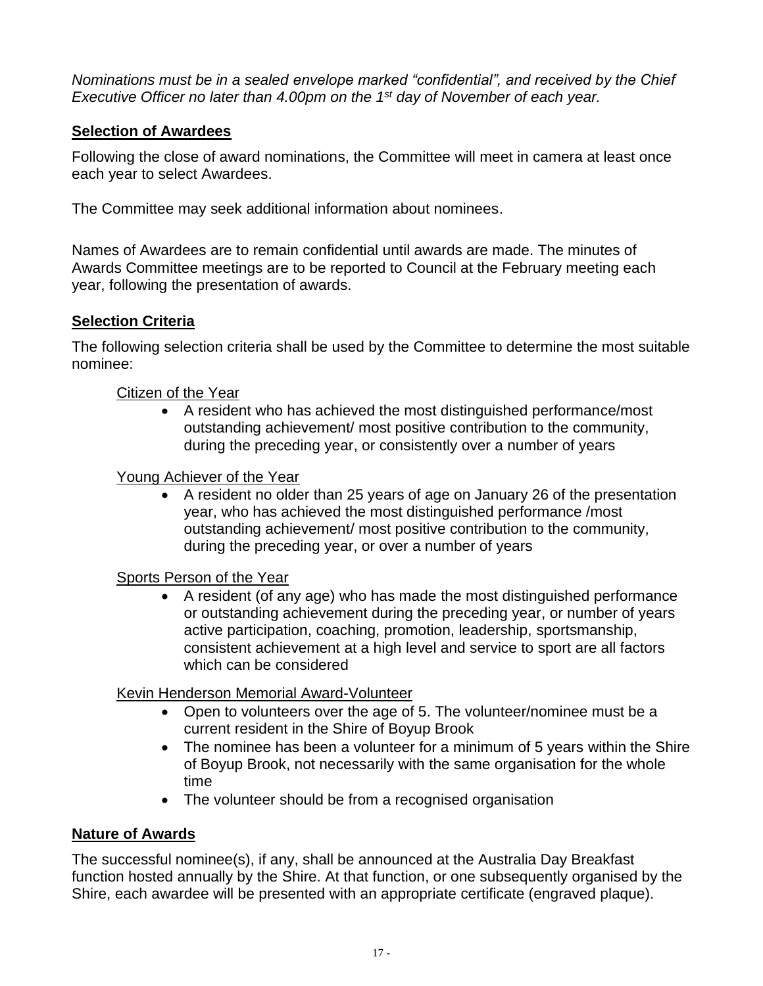*Nominations must be in a sealed envelope marked "confidential", and received by the Chief Executive Officer no later than 4.00pm on the 1st day of November of each year.*

## **Selection of Awardees**

Following the close of award nominations, the Committee will meet in camera at least once each year to select Awardees.

The Committee may seek additional information about nominees.

Names of Awardees are to remain confidential until awards are made. The minutes of Awards Committee meetings are to be reported to Council at the February meeting each year, following the presentation of awards.

## **Selection Criteria**

The following selection criteria shall be used by the Committee to determine the most suitable nominee:

#### Citizen of the Year

• A resident who has achieved the most distinguished performance/most outstanding achievement/ most positive contribution to the community, during the preceding year, or consistently over a number of years

#### Young Achiever of the Year

• A resident no older than 25 years of age on January 26 of the presentation year, who has achieved the most distinguished performance /most outstanding achievement/ most positive contribution to the community, during the preceding year, or over a number of years

#### Sports Person of the Year

• A resident (of any age) who has made the most distinguished performance or outstanding achievement during the preceding year, or number of years active participation, coaching, promotion, leadership, sportsmanship, consistent achievement at a high level and service to sport are all factors which can be considered

#### Kevin Henderson Memorial Award-Volunteer

- Open to volunteers over the age of 5. The volunteer/nominee must be a current resident in the Shire of Boyup Brook
- The nominee has been a volunteer for a minimum of 5 years within the Shire of Boyup Brook, not necessarily with the same organisation for the whole time
- The volunteer should be from a recognised organisation

#### **Nature of Awards**

The successful nominee(s), if any, shall be announced at the Australia Day Breakfast function hosted annually by the Shire. At that function, or one subsequently organised by the Shire, each awardee will be presented with an appropriate certificate (engraved plaque).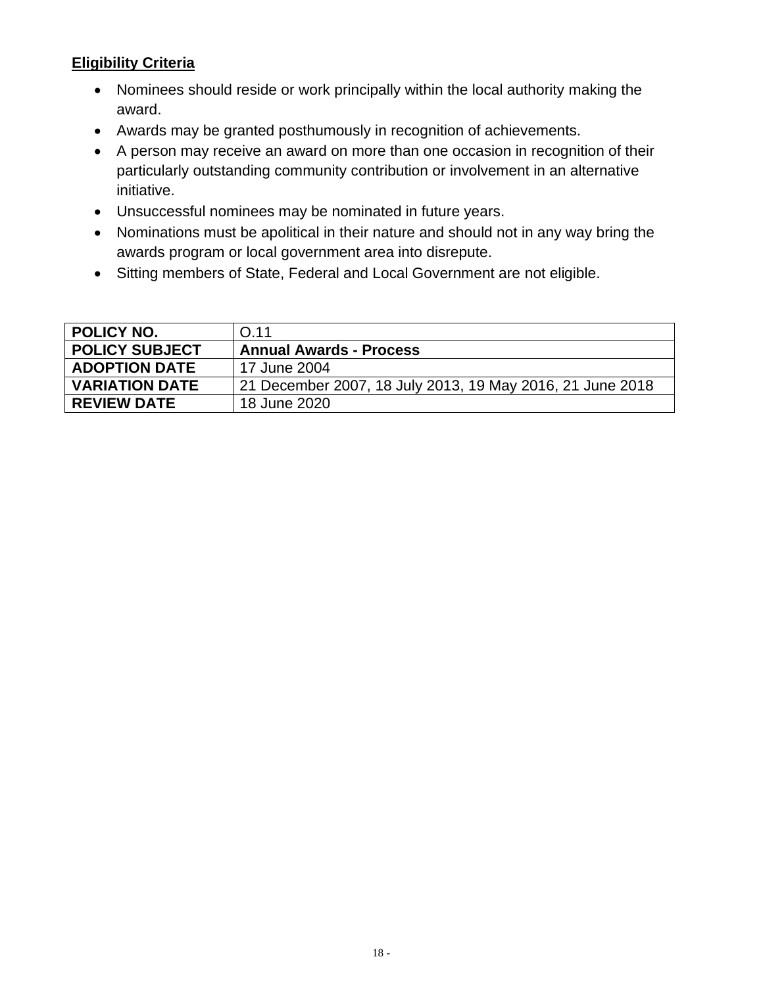# **Eligibility Criteria**

- Nominees should reside or work principally within the local authority making the award.
- Awards may be granted posthumously in recognition of achievements.
- A person may receive an award on more than one occasion in recognition of their particularly outstanding community contribution or involvement in an alternative initiative.
- Unsuccessful nominees may be nominated in future years.
- Nominations must be apolitical in their nature and should not in any way bring the awards program or local government area into disrepute.
- <span id="page-17-0"></span>• Sitting members of State, Federal and Local Government are not eligible.

| <b>POLICY NO.</b>     | O.11                                                      |
|-----------------------|-----------------------------------------------------------|
| <b>POLICY SUBJECT</b> | <b>Annual Awards - Process</b>                            |
| <b>ADOPTION DATE</b>  | 17 June 2004                                              |
| <b>VARIATION DATE</b> | 21 December 2007, 18 July 2013, 19 May 2016, 21 June 2018 |
| <b>REVIEW DATE</b>    | 18 June 2020                                              |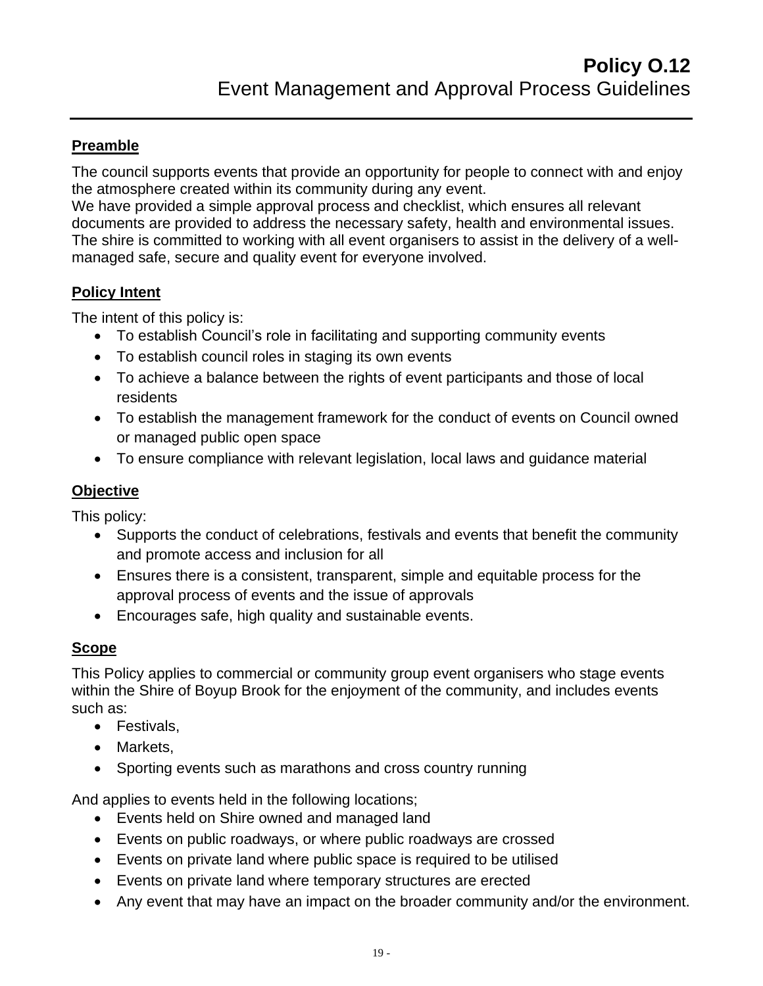# **Preamble**

The council supports events that provide an opportunity for people to connect with and enjoy the atmosphere created within its community during any event.

We have provided a simple approval process and checklist, which ensures all relevant documents are provided to address the necessary safety, health and environmental issues. The shire is committed to working with all event organisers to assist in the delivery of a wellmanaged safe, secure and quality event for everyone involved.

## **Policy Intent**

The intent of this policy is:

- To establish Council's role in facilitating and supporting community events
- To establish council roles in staging its own events
- To achieve a balance between the rights of event participants and those of local residents
- To establish the management framework for the conduct of events on Council owned or managed public open space
- To ensure compliance with relevant legislation, local laws and guidance material

# **Objective**

This policy:

- Supports the conduct of celebrations, festivals and events that benefit the community and promote access and inclusion for all
- Ensures there is a consistent, transparent, simple and equitable process for the approval process of events and the issue of approvals
- Encourages safe, high quality and sustainable events.

## **Scope**

This Policy applies to commercial or community group event organisers who stage events within the Shire of Boyup Brook for the enjoyment of the community, and includes events such as:

- Festivals,
- Markets,
- Sporting events such as marathons and cross country running

And applies to events held in the following locations;

- Events held on Shire owned and managed land
- Events on public roadways, or where public roadways are crossed
- Events on private land where public space is required to be utilised
- Events on private land where temporary structures are erected
- Any event that may have an impact on the broader community and/or the environment.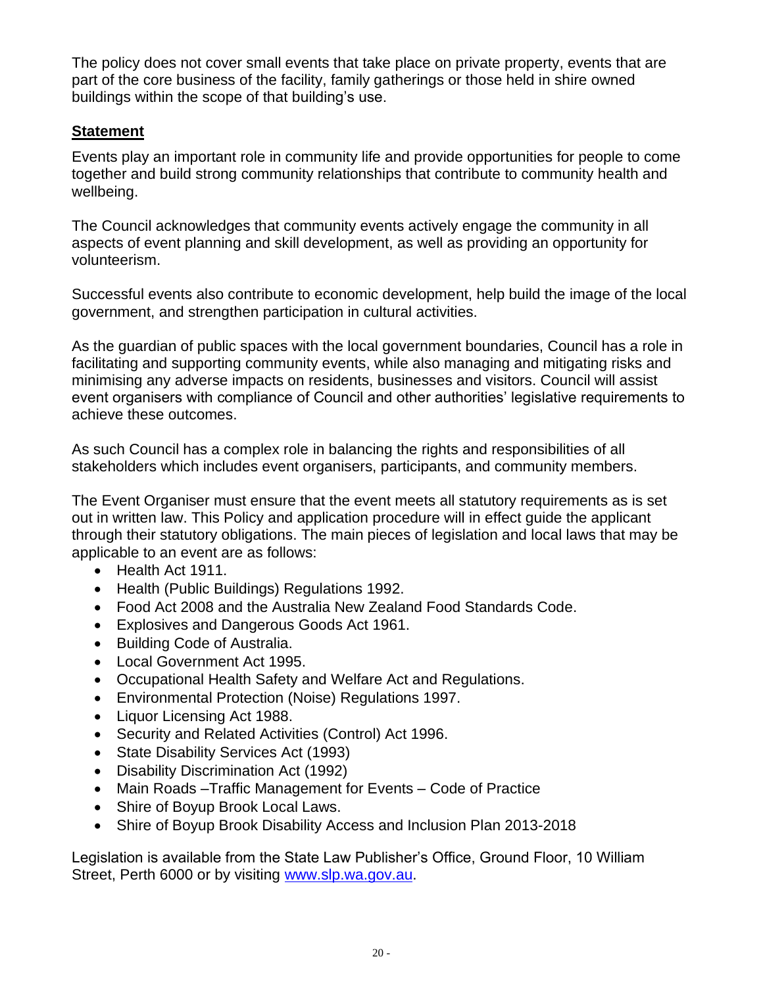The policy does not cover small events that take place on private property, events that are part of the core business of the facility, family gatherings or those held in shire owned buildings within the scope of that building's use.

## **Statement**

Events play an important role in community life and provide opportunities for people to come together and build strong community relationships that contribute to community health and wellbeing.

The Council acknowledges that community events actively engage the community in all aspects of event planning and skill development, as well as providing an opportunity for volunteerism.

Successful events also contribute to economic development, help build the image of the local government, and strengthen participation in cultural activities.

As the guardian of public spaces with the local government boundaries, Council has a role in facilitating and supporting community events, while also managing and mitigating risks and minimising any adverse impacts on residents, businesses and visitors. Council will assist event organisers with compliance of Council and other authorities' legislative requirements to achieve these outcomes.

As such Council has a complex role in balancing the rights and responsibilities of all stakeholders which includes event organisers, participants, and community members.

The Event Organiser must ensure that the event meets all statutory requirements as is set out in written law. This Policy and application procedure will in effect guide the applicant through their statutory obligations. The main pieces of legislation and local laws that may be applicable to an event are as follows:

- Health Act 1911.
- Health (Public Buildings) Regulations 1992.
- Food Act 2008 and the Australia New Zealand Food Standards Code.
- Explosives and Dangerous Goods Act 1961.
- Building Code of Australia.
- Local Government Act 1995.
- Occupational Health Safety and Welfare Act and Regulations.
- Environmental Protection (Noise) Regulations 1997.
- Liquor Licensing Act 1988.
- Security and Related Activities (Control) Act 1996.
- State Disability Services Act (1993)
- Disability Discrimination Act (1992)
- Main Roads –Traffic Management for Events Code of Practice
- Shire of Boyup Brook Local Laws.
- Shire of Boyup Brook Disability Access and Inclusion Plan 2013-2018

Legislation is available from the State Law Publisher's Office, Ground Floor, 10 William Street, Perth 6000 or by visiting [www.slp.wa.gov.au.](http://www.slp.wa.gov.au/)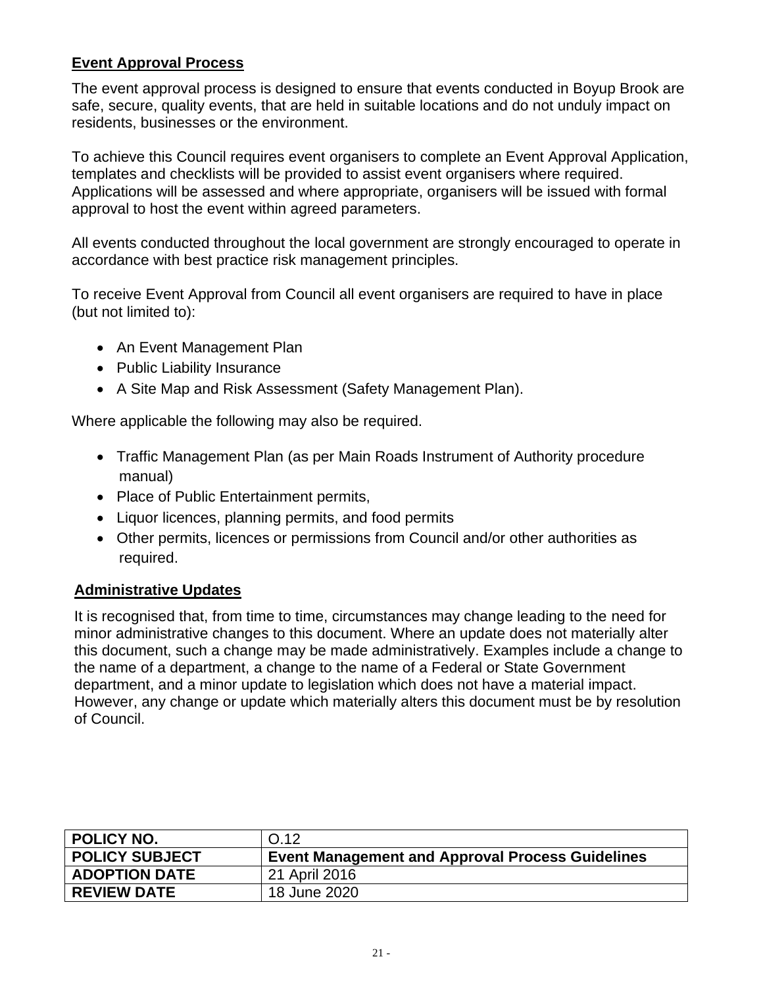## **Event Approval Process**

The event approval process is designed to ensure that events conducted in Boyup Brook are safe, secure, quality events, that are held in suitable locations and do not unduly impact on residents, businesses or the environment.

To achieve this Council requires event organisers to complete an Event Approval Application, templates and checklists will be provided to assist event organisers where required. Applications will be assessed and where appropriate, organisers will be issued with formal approval to host the event within agreed parameters.

All events conducted throughout the local government are strongly encouraged to operate in accordance with best practice risk management principles.

To receive Event Approval from Council all event organisers are required to have in place (but not limited to):

- An Event Management Plan
- Public Liability Insurance
- A Site Map and Risk Assessment (Safety Management Plan).

Where applicable the following may also be required.

- Traffic Management Plan (as per Main Roads Instrument of Authority procedure manual)
- Place of Public Entertainment permits,
- Liquor licences, planning permits, and food permits
- Other permits, licences or permissions from Council and/or other authorities as required.

#### **Administrative Updates**

It is recognised that, from time to time, circumstances may change leading to the need for minor administrative changes to this document. Where an update does not materially alter this document, such a change may be made administratively. Examples include a change to the name of a department, a change to the name of a Federal or State Government department, and a minor update to legislation which does not have a material impact. However, any change or update which materially alters this document must be by resolution of Council.

<span id="page-20-0"></span>

| <b>POLICY NO.</b>     | O.12                                                    |
|-----------------------|---------------------------------------------------------|
| <b>POLICY SUBJECT</b> | <b>Event Management and Approval Process Guidelines</b> |
| <b>ADOPTION DATE</b>  | 21 April 2016                                           |
| <b>REVIEW DATE</b>    | 18 June 2020                                            |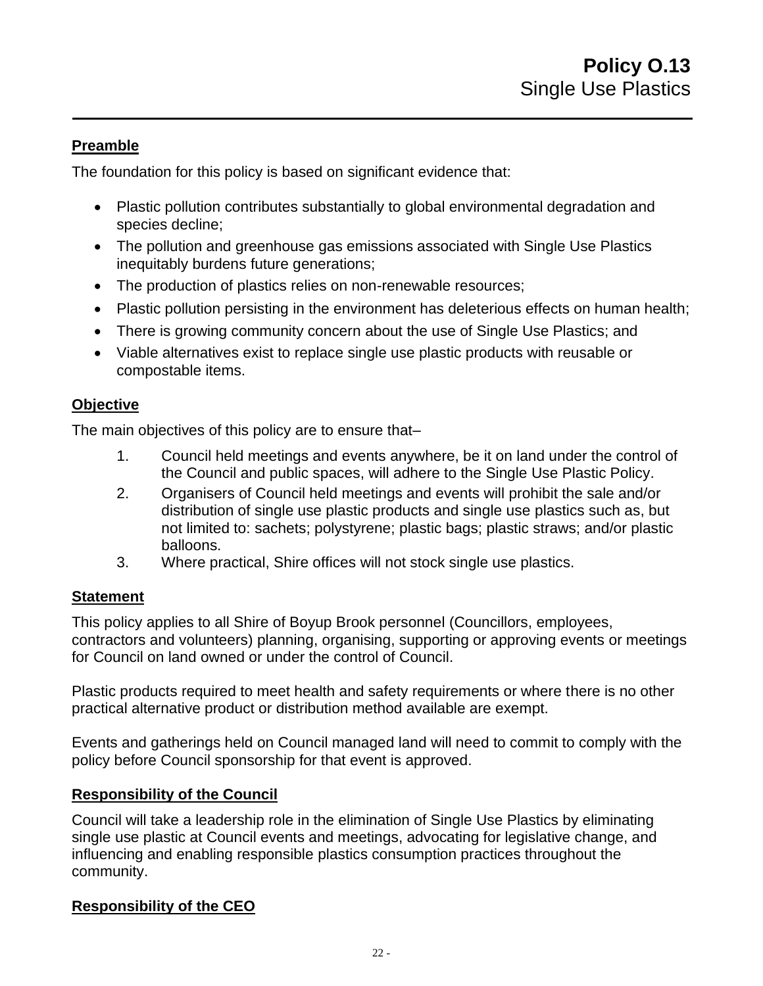## **Preamble**

The foundation for this policy is based on significant evidence that:

- Plastic pollution contributes substantially to global environmental degradation and species decline;
- The pollution and greenhouse gas emissions associated with Single Use Plastics inequitably burdens future generations;
- The production of plastics relies on non-renewable resources;
- Plastic pollution persisting in the environment has deleterious effects on human health;
- There is growing community concern about the use of Single Use Plastics; and
- Viable alternatives exist to replace single use plastic products with reusable or compostable items.

## **Objective**

The main objectives of this policy are to ensure that–

- 1. Council held meetings and events anywhere, be it on land under the control of the Council and public spaces, will adhere to the Single Use Plastic Policy.
- 2. Organisers of Council held meetings and events will prohibit the sale and/or distribution of single use plastic products and single use plastics such as, but not limited to: sachets; polystyrene; plastic bags; plastic straws; and/or plastic balloons.
- 3. Where practical, Shire offices will not stock single use plastics.

#### **Statement**

This policy applies to all Shire of Boyup Brook personnel (Councillors, employees, contractors and volunteers) planning, organising, supporting or approving events or meetings for Council on land owned or under the control of Council.

Plastic products required to meet health and safety requirements or where there is no other practical alternative product or distribution method available are exempt.

Events and gatherings held on Council managed land will need to commit to comply with the policy before Council sponsorship for that event is approved.

#### **Responsibility of the Council**

Council will take a leadership role in the elimination of Single Use Plastics by eliminating single use plastic at Council events and meetings, advocating for legislative change, and influencing and enabling responsible plastics consumption practices throughout the community.

#### **Responsibility of the CEO**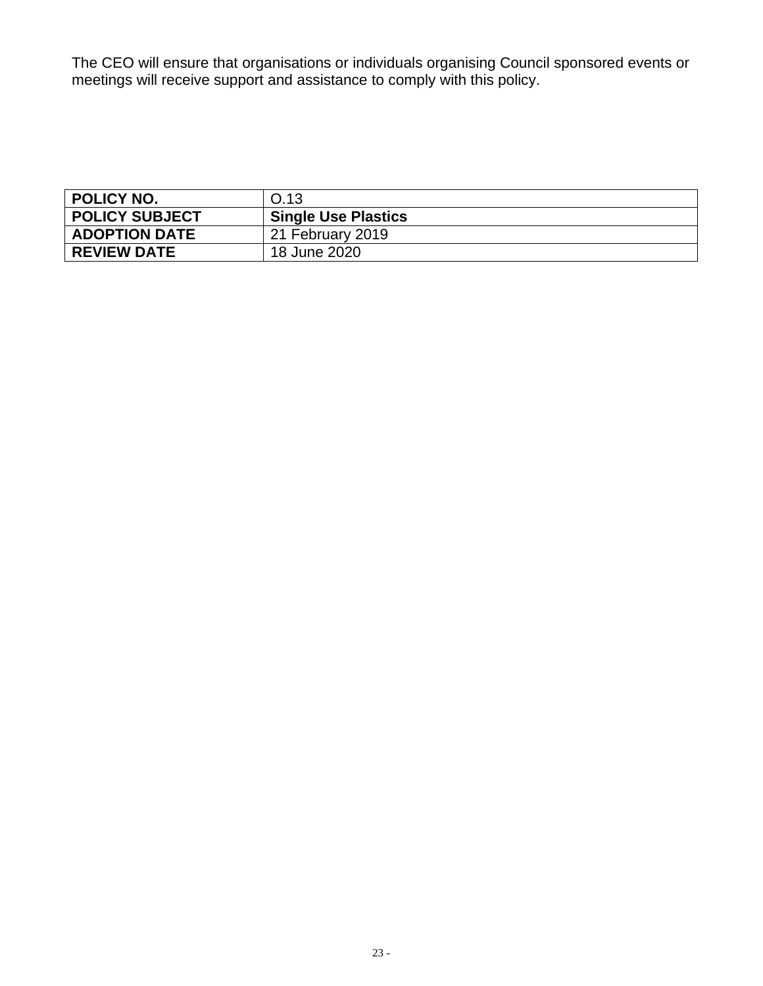The CEO will ensure that organisations or individuals organising Council sponsored events or meetings will receive support and assistance to comply with this policy.

<span id="page-22-0"></span>

| <b>POLICY NO.</b>     | O.13                       |
|-----------------------|----------------------------|
| <b>POLICY SUBJECT</b> | <b>Single Use Plastics</b> |
| <b>ADOPTION DATE</b>  | 21 February 2019           |
| <b>REVIEW DATE</b>    | 18 June 2020               |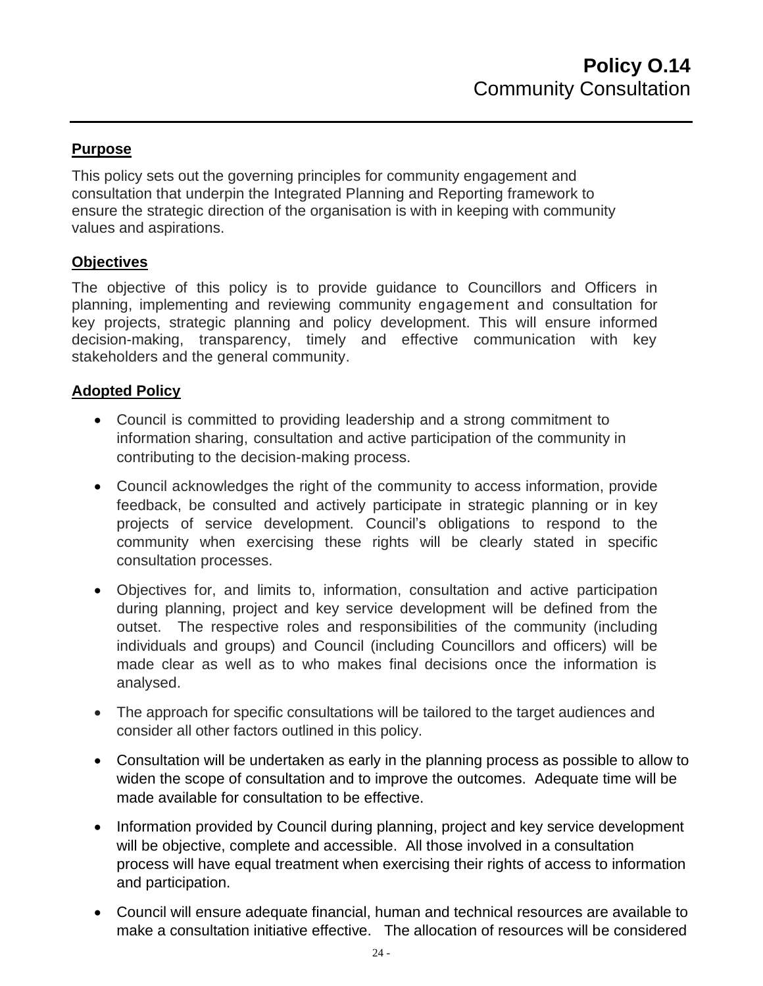## **Purpose**

This policy sets out the governing principles for community engagement and consultation that underpin the Integrated Planning and Reporting framework to ensure the strategic direction of the organisation is with in keeping with community values and aspirations.

## **Objectives**

The objective of this policy is to provide guidance to Councillors and Officers in planning, implementing and reviewing community engagement and consultation for key projects, strategic planning and policy development. This will ensure informed decision-making, transparency, timely and effective communication with key stakeholders and the general community.

## **Adopted Policy**

- Council is committed to providing leadership and a strong commitment to information sharing, consultation and active participation of the community in contributing to the decision-making process.
- Council acknowledges the right of the community to access information, provide feedback, be consulted and actively participate in strategic planning or in key projects of service development. Council's obligations to respond to the community when exercising these rights will be clearly stated in specific consultation processes.
- Objectives for, and limits to, information, consultation and active participation during planning, project and key service development will be defined from the outset. The respective roles and responsibilities of the community (including individuals and groups) and Council (including Councillors and officers) will be made clear as well as to who makes final decisions once the information is analysed.
- The approach for specific consultations will be tailored to the target audiences and consider all other factors outlined in this policy.
- Consultation will be undertaken as early in the planning process as possible to allow to widen the scope of consultation and to improve the outcomes. Adequate time will be made available for consultation to be effective.
- Information provided by Council during planning, project and key service development will be objective, complete and accessible. All those involved in a consultation process will have equal treatment when exercising their rights of access to information and participation.
- Council will ensure adequate financial, human and technical resources are available to make a consultation initiative effective. The allocation of resources will be considered